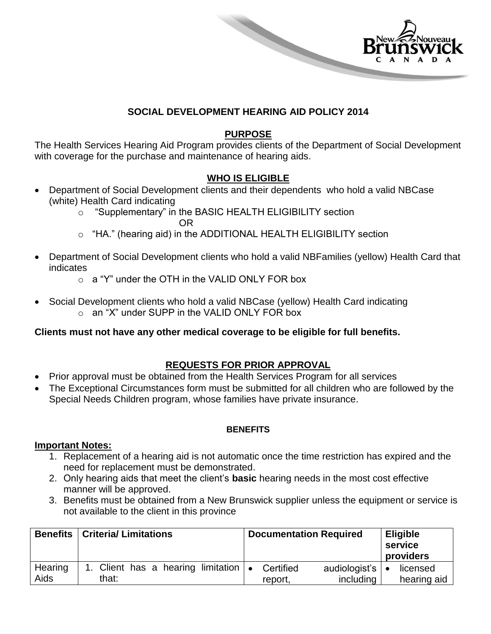

#### **SOCIAL DEVELOPMENT HEARING AID POLICY 2014**

## **PURPOSE**

The Health Services Hearing Aid Program provides clients of the Department of Social Development with coverage for the purchase and maintenance of hearing aids.

## **WHO IS ELIGIBLE**

- Department of Social Development clients and their dependents who hold a valid NBCase (white) Health Card indicating
	- o "Supplementary" in the BASIC HEALTH ELIGIBILITY section OR
	- o "HA." (hearing aid) in the ADDITIONAL HEALTH ELIGIBILITY section
- Department of Social Development clients who hold a valid NBFamilies (yellow) Health Card that indicates
	- $\alpha$  a "Y" under the OTH in the VALID ONLY FOR box
- Social Development clients who hold a valid NBCase (yellow) Health Card indicating o an "X" under SUPP in the VALID ONLY FOR box

#### **Clients must not have any other medical coverage to be eligible for full benefits.**

## **REQUESTS FOR PRIOR APPROVAL**

- Prior approval must be obtained from the Health Services Program for all services
- The Exceptional Circumstances form must be submitted for all children who are followed by the Special Needs Children program, whose families have private insurance.

#### **BENEFITS**

#### **Important Notes:**

- 1. Replacement of a hearing aid is not automatic once the time restriction has expired and the need for replacement must be demonstrated.
- 2. Only hearing aids that meet the client's **basic** hearing needs in the most cost effective manner will be approved.
- 3. Benefits must be obtained from a New Brunswick supplier unless the equipment or service is not available to the client in this province

| <b>Benefits</b> | <b>Criteria/Limitations</b>                         | <b>Documentation Required</b>                        | <b>Eligible</b><br>service<br>providers |
|-----------------|-----------------------------------------------------|------------------------------------------------------|-----------------------------------------|
| Hearing<br>Aids | 1. Client has a hearing limitation $\cdot$<br>that: | Certified<br>audiologist's  <br>including<br>report. | licensed<br>$\bullet$<br>hearing aid    |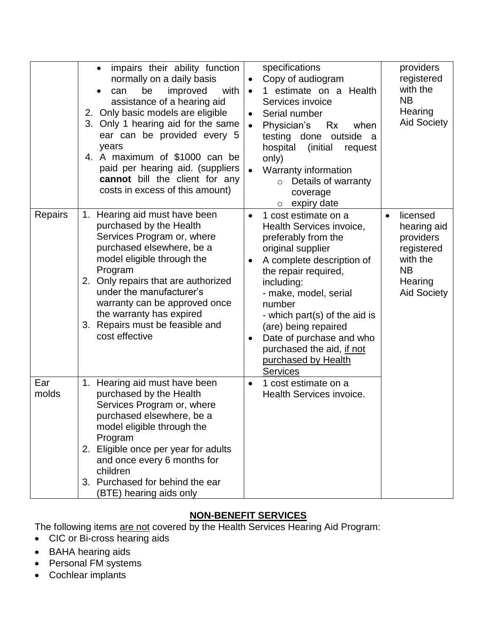|              | impairs their ability function<br>$\bullet$<br>normally on a daily basis<br>improved<br>with<br>be<br>can<br>$\bullet$<br>assistance of a hearing aid<br>2. Only basic models are eligible<br>3. Only 1 hearing aid for the same<br>ear can be provided every 5<br>years<br>4. A maximum of \$1000 can be<br>paid per hearing aid. (suppliers<br>cannot bill the client for any<br>costs in excess of this amount) | specifications<br>Copy of audiogram<br>1 estimate on a Health<br>$\bullet$<br>Services invoice<br>Serial number<br>$\bullet$<br>Physician's<br>Rx<br>when<br>$\bullet$<br>testing done outside a<br>hospital<br>(initial)<br>request<br>only)<br>Warranty information<br>Details of warranty<br>$\circ$<br>coverage<br>expiry date<br>$\circ$                                            | providers<br>registered<br>with the<br><b>NB</b><br>Hearing<br><b>Aid Society</b>                                         |
|--------------|--------------------------------------------------------------------------------------------------------------------------------------------------------------------------------------------------------------------------------------------------------------------------------------------------------------------------------------------------------------------------------------------------------------------|------------------------------------------------------------------------------------------------------------------------------------------------------------------------------------------------------------------------------------------------------------------------------------------------------------------------------------------------------------------------------------------|---------------------------------------------------------------------------------------------------------------------------|
| Repairs      | Hearing aid must have been<br>1.<br>purchased by the Health<br>Services Program or, where<br>purchased elsewhere, be a<br>model eligible through the<br>Program<br>2. Only repairs that are authorized<br>under the manufacturer's<br>warranty can be approved once<br>the warranty has expired<br>3. Repairs must be feasible and<br>cost effective                                                               | 1 cost estimate on a<br>$\bullet$<br>Health Services invoice,<br>preferably from the<br>original supplier<br>A complete description of<br>the repair required,<br>including:<br>- make, model, serial<br>number<br>- which part(s) of the aid is<br>(are) being repaired<br>Date of purchase and who<br>$\bullet$<br>purchased the aid, if not<br>purchased by Health<br><b>Services</b> | licensed<br>$\bullet$<br>hearing aid<br>providers<br>registered<br>with the<br><b>NB</b><br>Hearing<br><b>Aid Society</b> |
| Ear<br>molds | Hearing aid must have been<br>1.<br>purchased by the Health<br>Services Program or, where<br>purchased elsewhere, be a<br>model eligible through the<br>Program<br>2. Eligible once per year for adults<br>and once every 6 months for<br>children<br>3. Purchased for behind the ear<br>(BTE) hearing aids only                                                                                                   | 1 cost estimate on a<br>$\bullet$<br>Health Services invoice.                                                                                                                                                                                                                                                                                                                            |                                                                                                                           |

# **NON-BENEFIT SERVICES**

The following items are not covered by the Health Services Hearing Aid Program:

- CIC or Bi-cross hearing aids
- BAHA hearing aids
- Personal FM systems
- Cochlear implants